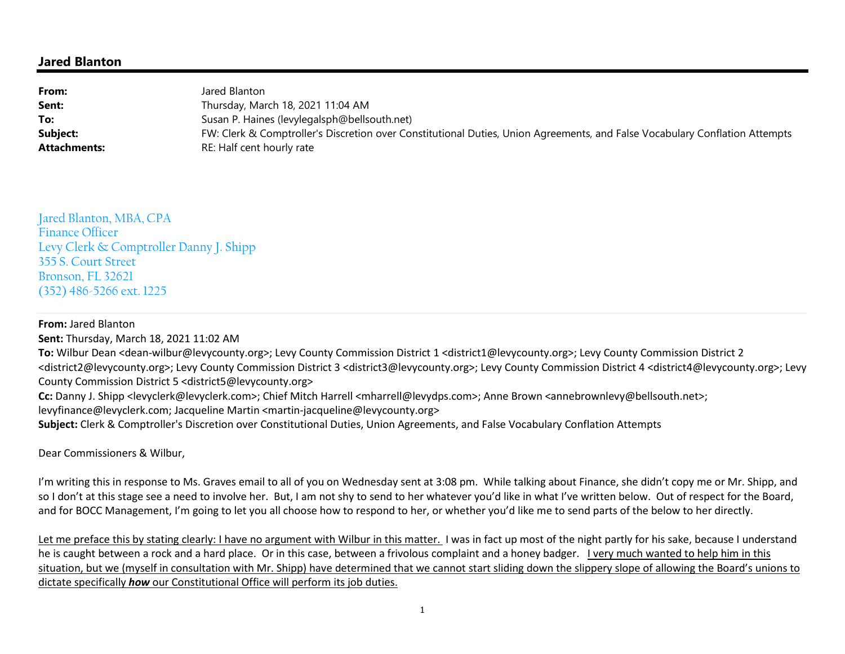## **Jared Blanton**

| From:               | Jared Blanton                                                                                                               |
|---------------------|-----------------------------------------------------------------------------------------------------------------------------|
| Sent:               | Thursday, March 18, 2021 11:04 AM                                                                                           |
| To:                 | Susan P. Haines (levylegalsph@bellsouth.net)                                                                                |
| Subject:            | FW: Clerk & Comptroller's Discretion over Constitutional Duties, Union Agreements, and False Vocabulary Conflation Attempts |
| <b>Attachments:</b> | RE: Half cent hourly rate                                                                                                   |

Jared Blanton, MBA, CPA Finance Officer Levy Clerk & Comptroller Danny J. Shipp 355 S. Court Street Bronson, FL 32621 (352) 486-5266 ext. 1225

## **From:** Jared Blanton

**Sent:** Thursday, March 18, 2021 11:02 AM

 **To:** Wilbur Dean <dean-wilbur@levycounty.org>; Levy County Commission District 1 <district1@levycounty.org>; Levy County Commission District 2 <district2@levycounty.org>; Levy County Commission District 3 <district3@levycounty.org>; Levy County Commission District 4 <district4@levycounty.org>; Levy County Commission District 5 <district5@levycounty.org>

**Cc:** Danny J. Shipp <levyclerk@levyclerk.com>; Chief Mitch Harrell <mharrell@levydps.com>; Anne Brown <annebrownlevy@bellsouth.net>;

levyfinance@levyclerk.com; Jacqueline Martin <martin-jacqueline@levycounty.org>

**Subject:** Clerk & Comptroller's Discretion over Constitutional Duties, Union Agreements, and False Vocabulary Conflation Attempts

Dear Commissioners & Wilbur,

I'm writing this in response to Ms. Graves email to all of you on Wednesday sent at 3:08 pm. While talking about Finance, she didn't copy me or Mr. Shipp, and so I don't at this stage see a need to involve her. But, I am not shy to send to her whatever you'd like in what I've written below. Out of respect for the Board, and for BOCC Management, I'm going to let you all choose how to respond to her, or whether you'd like me to send parts of the below to her directly.

Let me preface this by stating clearly: I have no argument with Wilbur in this matter. I was in fact up most of the night partly for his sake, because I understand he is caught between a rock and a hard place. Or in this case, between a frivolous complaint and a honey badger. I very much wanted to help him in this situation, but we (myself in consultation with Mr. Shipp) have determined that we cannot start sliding down the slippery slope of allowing the Board's unions to dictate specifically *how* our Constitutional Office will perform its job duties.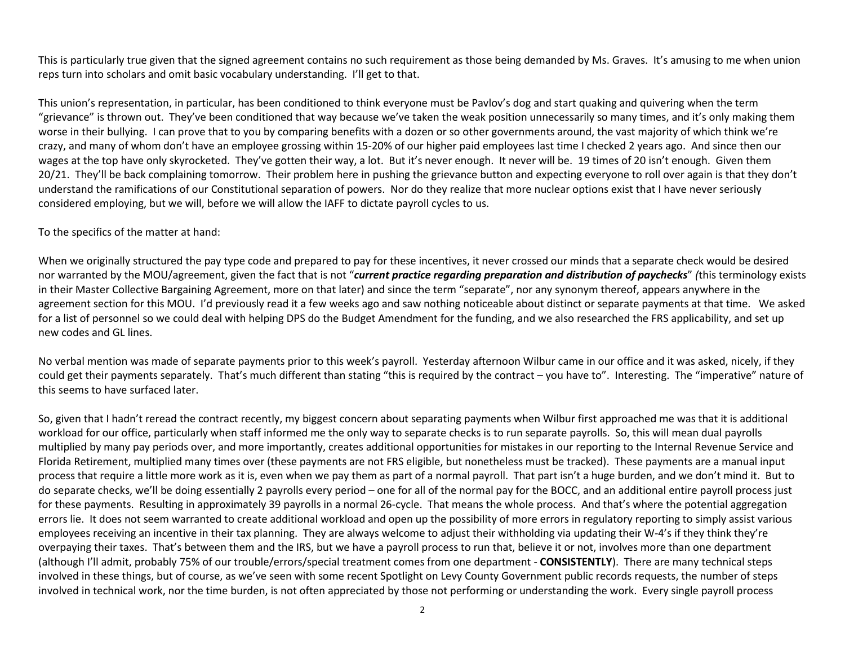This is particularly true given that the signed agreement contains no such requirement as those being demanded by Ms. Graves. It's amusing to me when union reps turn into scholars and omit basic vocabulary understanding. I'll get to that.

This union's representation, in particular, has been conditioned to think everyone must be Pavlov's dog and start quaking and quivering when the term "grievance" is thrown out. They've been conditioned that way because we've taken the weak position unnecessarily so many times, and it's only making them worse in their bullying. I can prove that to you by comparing benefits with a dozen or so other governments around, the vast majority of which think we're crazy, and many of whom don't have an employee grossing within 15-20% of our higher paid employees last time I checked 2 years ago. And since then our wages at the top have only skyrocketed. They've gotten their way, a lot. But it's never enough. It never will be. 19 times of 20 isn't enough. Given them 20/21. They'll be back complaining tomorrow. Their problem here in pushing the grievance button and expecting everyone to roll over again is that they don't understand the ramifications of our Constitutional separation of powers. Nor do they realize that more nuclear options exist that I have never seriouslyconsidered employing, but we will, before we will allow the IAFF to dictate payroll cycles to us.

## To the specifics of the matter at hand:

When we originally structured the pay type code and prepared to pay for these incentives, it never crossed our minds that a separate check would be desired nor warranted by the MOU/agreement, given the fact that is not "*current practice regarding preparation and distribution of paychecks*" *(*this terminology exists in their Master Collective Bargaining Agreement, more on that later) and since the term "separate", nor any synonym thereof, appears anywhere in the agreement section for this MOU. I'd previously read it a few weeks ago and saw nothing noticeable about distinct or separate payments at that time. We asked for a list of personnel so we could deal with helping DPS do the Budget Amendment for the funding, and we also researched the FRS applicability, and set up new codes and GL lines.

No verbal mention was made of separate payments prior to this week's payroll. Yesterday afternoon Wilbur came in our office and it was asked, nicely, if they could get their payments separately. That's much different than stating "this is required by the contract – you have to". Interesting. The "imperative" nature of this seems to have surfaced later.

So, given that I hadn't reread the contract recently, my biggest concern about separating payments when Wilbur first approached me was that it is additional workload for our office, particularly when staff informed me the only way to separate checks is to run separate payrolls. So, this will mean dual payrolls multiplied by many pay periods over, and more importantly, creates additional opportunities for mistakes in our reporting to the Internal Revenue Service and Florida Retirement, multiplied many times over (these payments are not FRS eligible, but nonetheless must be tracked). These payments are a manual input process that require a little more work as it is, even when we pay them as part of a normal payroll. That part isn't a huge burden, and we don't mind it. But to do separate checks, we'll be doing essentially 2 payrolls every period – one for all of the normal pay for the BOCC, and an additional entire payroll process just for these payments. Resulting in approximately 39 payrolls in a normal 26-cycle. That means the whole process. And that's where the potential aggregation errors lie. It does not seem warranted to create additional workload and open up the possibility of more errors in regulatory reporting to simply assist various employees receiving an incentive in their tax planning. They are always welcome to adjust their withholding via updating their W-4's if they think they're overpaying their taxes. That's between them and the IRS, but we have a payroll process to run that, believe it or not, involves more than one department (although I'll admit, probably 75% of our trouble/errors/special treatment comes from one department - **CONSISTENTLY**). There are many technical steps involved in these things, but of course, as we've seen with some recent Spotlight on Levy County Government public records requests, the number of steps involved in technical work, nor the time burden, is not often appreciated by those not performing or understanding the work. Every single payroll process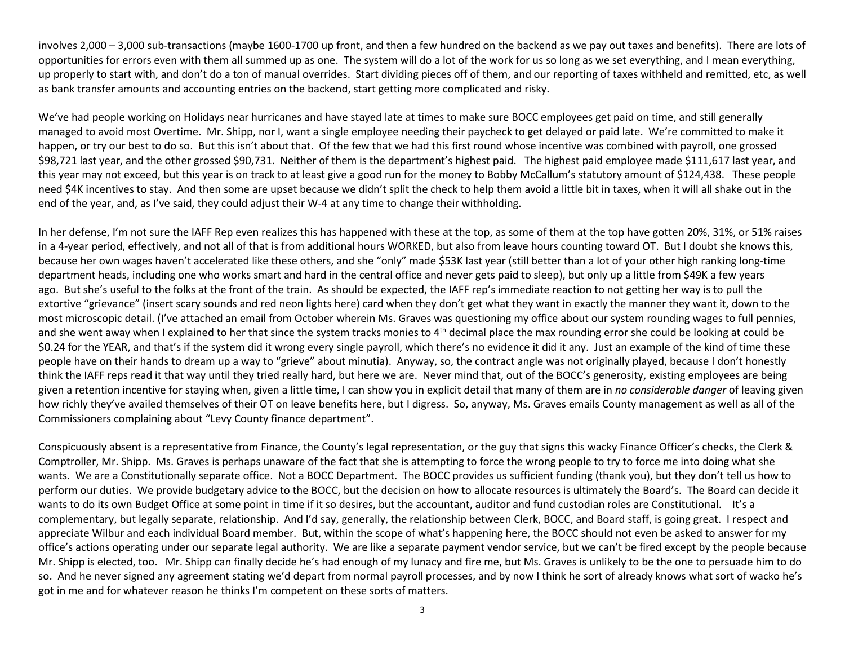involves 2,000 – 3,000 sub-transactions (maybe 1600-1700 up front, and then a few hundred on the backend as we pay out taxes and benefits). There are lots of opportunities for errors even with them all summed up as one. The system will do a lot of the work for us so long as we set everything, and I mean everything, up properly to start with, and don't do a ton of manual overrides. Start dividing pieces off of them, and our reporting of taxes withheld and remitted, etc, as well as bank transfer amounts and accounting entries on the backend, start getting more complicated and risky.

We've had people working on Holidays near hurricanes and have stayed late at times to make sure BOCC employees get paid on time, and still generally managed to avoid most Overtime. Mr. Shipp, nor I, want a single employee needing their paycheck to get delayed or paid late. We're committed to make ithappen, or try our best to do so. But this isn't about that. Of the few that we had this first round whose incentive was combined with payroll, one grossed \$98,721 last year, and the other grossed \$90,731. Neither of them is the department's highest paid. The highest paid employee made \$111,617 last vear, and this year may not exceed, but this year is on track to at least give a good run for the money to Bobby McCallum's statutory amount of \$124,438. These people need \$4K incentives to stay. And then some are upset because we didn't split the check to help them avoid a little bit in taxes, when it will all shake out in the end of the year, and, as I've said, they could adjust their W-4 at any time to change their withholding.

In her defense, I'm not sure the IAFF Rep even realizes this has happened with these at the top, as some of them at the top have gotten 20%, 31%, or 51% raises in a 4-year period, effectively, and not all of that is from additional hours WORKED, but also from leave hours counting toward OT. But I doubt she knows this, because her own wages haven't accelerated like these others, and she "only" made \$53K last year (still better than a lot of your other high ranking long-time department heads, including one who works smart and hard in the central office and never gets paid to sleep), but only up a little from \$49K a few years ago. But she's useful to the folks at the front of the train. As should be expected, the IAFF rep's immediate reaction to not getting her way is to pull the extortive "grievance" (insert scary sounds and red neon lights here) card when they don't get what they want in exactly the manner they want it, down to the most microscopic detail. (I've attached an email from October wherein Ms. Graves was questioning my office about our system rounding wages to full pennies, and she went away when I explained to her that since the system tracks monies to  $4<sup>th</sup>$  decimal place the max rounding error she could be looking at could be \$0.24 for the YEAR, and that's if the system did it wrong every single payroll, which there's no evidence it did it any. Just an example of the kind of time these people have on their hands to dream up a way to "grieve" about minutia). Anyway, so, the contract angle was not originally played, because I don't honestly think the IAFF reps read it that way until they tried really hard, but here we are. Never mind that, out of the BOCC's generosity, existing employees are being given a retention incentive for staying when, given a little time, I can show you in explicit detail that many of them are in *no considerable danger* of leaving given how richly they've availed themselves of their OT on leave benefits here, but I digress. So, anyway, Ms. Graves emails County management as well as all of the Commissioners complaining about "Levy County finance department".

Conspicuously absent is a representative from Finance, the County's legal representation, or the guy that signs this wacky Finance Officer's checks, the Clerk & Comptroller, Mr. Shipp. Ms. Graves is perhaps unaware of the fact that she is attempting to force the wrong people to try to force me into doing what she wants. We are a Constitutionally separate office. Not a BOCC Department. The BOCC provides us sufficient funding (thank you), but they don't tell us how to perform our duties. We provide budgetary advice to the BOCC, but the decision on how to allocate resources is ultimately the Board's. The Board can decide it wants to do its own Budget Office at some point in time if it so desires, but the accountant, auditor and fund custodian roles are Constitutional. It's a complementary, but legally separate, relationship. And I'd say, generally, the relationship between Clerk, BOCC, and Board staff, is going great. I respect and appreciate Wilbur and each individual Board member. But, within the scope of what's happening here, the BOCC should not even be asked to answer for my office's actions operating under our separate legal authority. We are like a separate payment vendor service, but we can't be fired except by the people because Mr. Shipp is elected, too. Mr. Shipp can finally decide he's had enough of my lunacy and fire me, but Ms. Graves is unlikely to be the one to persuade him to do so. And he never signed any agreement stating we'd depart from normal payroll processes, and by now I think he sort of already knows what sort of wacko he's got in me and for whatever reason he thinks I'm competent on these sorts of matters.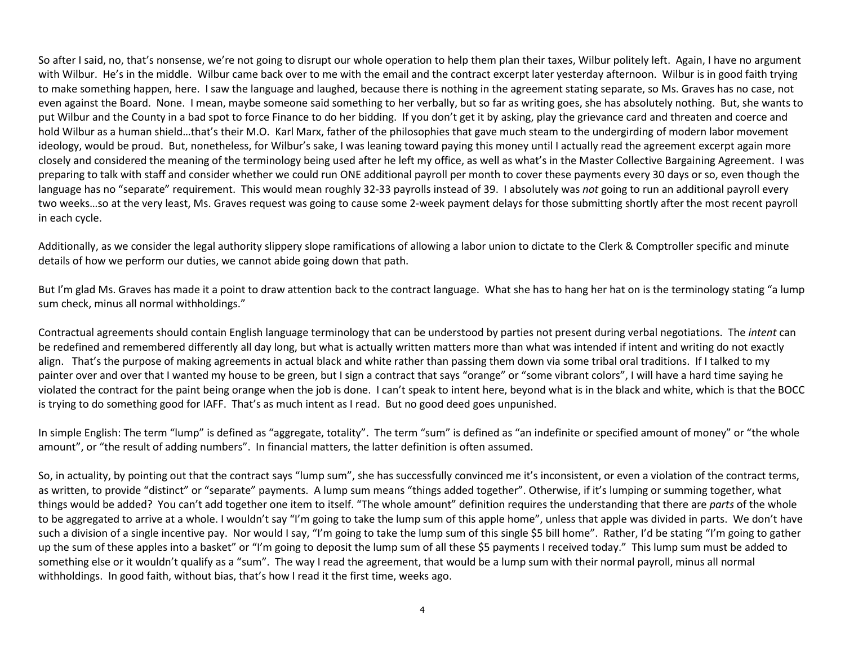So after I said, no, that's nonsense, we're not going to disrupt our whole operation to help them plan their taxes, Wilbur politely left. Again, I have no argument with Wilbur. He's in the middle. Wilbur came back over to me with the email and the contract excerpt later yesterday afternoon. Wilbur is in good faith trying to make something happen, here. I saw the language and laughed, because there is nothing in the agreement stating separate, so Ms. Graves has no case, not even against the Board. None. I mean, maybe someone said something to her verbally, but so far as writing goes, she has absolutely nothing. But, she wants to put Wilbur and the County in a bad spot to force Finance to do her bidding. If you don't get it by asking, play the grievance card and threaten and coerce and hold Wilbur as a human shield…that's their M.O. Karl Marx, father of the philosophies that gave much steam to the undergirding of modern labor movement ideology, would be proud. But, nonetheless, for Wilbur's sake, I was leaning toward paying this money until I actually read the agreement excerpt again more closely and considered the meaning of the terminology being used after he left my office, as well as what's in the Master Collective Bargaining Agreement. I was preparing to talk with staff and consider whether we could run ONE additional payroll per month to cover these payments every 30 days or so, even though the language has no "separate" requirement. This would mean roughly 32-33 payrolls instead of 39. I absolutely was *not* going to run an additional payroll every two weeks…so at the very least, Ms. Graves request was going to cause some 2-week payment delays for those submitting shortly after the most recent payroll in each cycle.

Additionally, as we consider the legal authority slippery slope ramifications of allowing a labor union to dictate to the Clerk & Comptroller specific and minute details of how we perform our duties, we cannot abide going down that path.

But I'm glad Ms. Graves has made it a point to draw attention back to the contract language. What she has to hang her hat on is the terminology stating "a lump sum check, minus all normal withholdings."

Contractual agreements should contain English language terminology that can be understood by parties not present during verbal negotiations. The *intent* can be redefined and remembered differently all day long, but what is actually written matters more than what was intended if intent and writing do not exactly align. That's the purpose of making agreements in actual black and white rather than passing them down via some tribal oral traditions. If I talked to my painter over and over that I wanted my house to be green, but I sign a contract that says "orange" or "some vibrant colors", I will have a hard time saying he violated the contract for the paint being orange when the job is done. I can't speak to intent here, beyond what is in the black and white, which is that the BOCC is trying to do something good for IAFF. That's as much intent as I read. But no good deed goes unpunished.

In simple English: The term "lump" is defined as "aggregate, totality". The term "sum" is defined as "an indefinite or specified amount of money" or "the whole amount", or "the result of adding numbers". In financial matters, the latter definition is often assumed.

So, in actuality, by pointing out that the contract says "lump sum", she has successfully convinced me it's inconsistent, or even a violation of the contract terms, as written, to provide "distinct" or "separate" payments. A lump sum means "things added together". Otherwise, if it's lumping or summing together, what things would be added? You can't add together one item to itself. "The whole amount" definition requires the understanding that there are *parts* of the whole to be aggregated to arrive at a whole. I wouldn't say "I'm going to take the lump sum of this apple home", unless that apple was divided in parts. We don't have such a division of a single incentive pay. Nor would I say, "I'm going to take the lump sum of this single \$5 bill home". Rather, I'd be stating "I'm going to gather up the sum of these apples into a basket" or "I'm going to deposit the lump sum of all these \$5 payments I received today." This lump sum must be added to something else or it wouldn't qualify as a "sum". The way I read the agreement, that would be a lump sum with their normal payroll, minus all normal withholdings. In good faith, without bias, that's how I read it the first time, weeks ago.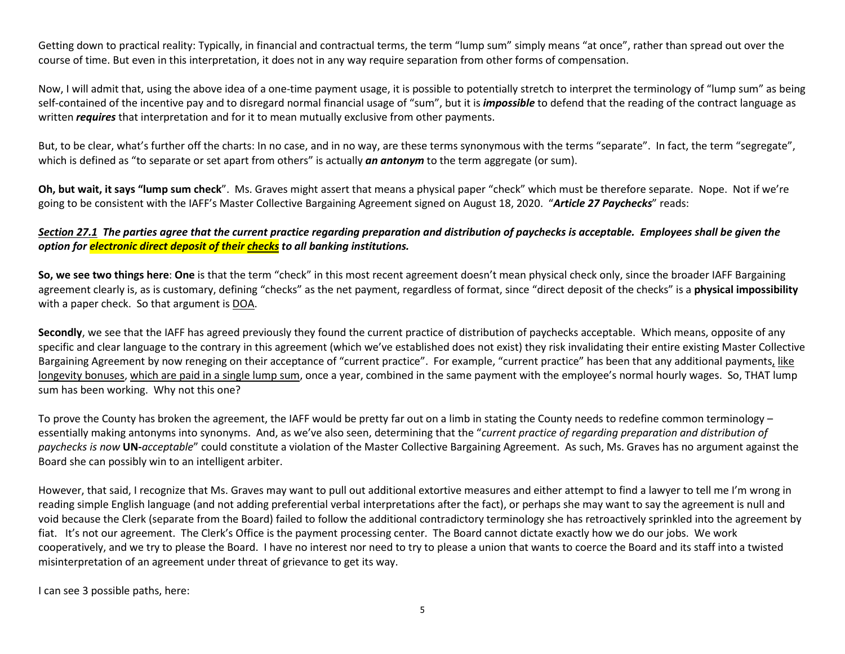Getting down to practical reality: Typically, in financial and contractual terms, the term "lump sum" simply means "at once", rather than spread out over the course of time. But even in this interpretation, it does not in any way require separation from other forms of compensation.

Now, I will admit that, using the above idea of a one-time payment usage, it is possible to potentially stretch to interpret the terminology of "lump sum" as being self-contained of the incentive pay and to disregard normal financial usage of "sum", but it is *impossible* to defend that the reading of the contract language as written *requires* that interpretation and for it to mean mutually exclusive from other payments.

But, to be clear, what's further off the charts: In no case, and in no way, are these terms synonymous with the terms "separate". In fact, the term "segregate", which is defined as "to separate or set apart from others" is actually **an antonym** to the term aggregate (or sum).

**Oh, but wait, it says "lump sum check**". Ms. Graves might assert that means a physical paper "check" which must be therefore separate. Nope. Not if we're going to be consistent with the IAFF's Master Collective Bargaining Agreement signed on August 18, 2020. "*Article 27 Paychecks*" reads:

## *Section 27.1 The parties agree that the current practice regarding preparation and distribution of paychecks is acceptable. Employees shall be given the option for electronic direct deposit of their checks to all banking institutions.*

**So, we see two things here**: **One** is that the term "check" in this most recent agreement doesn't mean physical check only, since the broader IAFF Bargaining agreement clearly is, as is customary, defining "checks" as the net payment, regardless of format, since "direct deposit of the checks" is a **physical impossibility**with a paper check. So that argument is DOA.

**Secondly**, we see that the IAFF has agreed previously they found the current practice of distribution of paychecks acceptable. Which means, opposite of any specific and clear language to the contrary in this agreement (which we've established does not exist) they risk invalidating their entire existing Master Collective Bargaining Agreement by now reneging on their acceptance of "current practice". For example, "current practice" has been that any additional payments, like longevity bonuses, which are paid in a single lump sum, once a year, combined in the same payment with the employee's normal hourly wages. So, THAT lump sum has been working. Why not this one?

To prove the County has broken the agreement, the IAFF would be pretty far out on a limb in stating the County needs to redefine common terminology – essentially making antonyms into synonyms. And, as we've also seen, determining that the "*current practice of regarding preparation and distribution of paychecks is now* **UN-***acceptable*" could constitute a violation of the Master Collective Bargaining Agreement. As such, Ms. Graves has no argument against the Board she can possibly win to an intelligent arbiter.

However, that said, I recognize that Ms. Graves may want to pull out additional extortive measures and either attempt to find a lawyer to tell me I'm wrong in reading simple English language (and not adding preferential verbal interpretations after the fact), or perhaps she may want to say the agreement is null and void because the Clerk (separate from the Board) failed to follow the additional contradictory terminology she has retroactively sprinkled into the agreement by fiat. It's not our agreement. The Clerk's Office is the payment processing center. The Board cannot dictate exactly how we do our jobs. We work cooperatively, and we try to please the Board. I have no interest nor need to try to please a union that wants to coerce the Board and its staff into a twisted misinterpretation of an agreement under threat of grievance to get its way.

I can see 3 possible paths, here: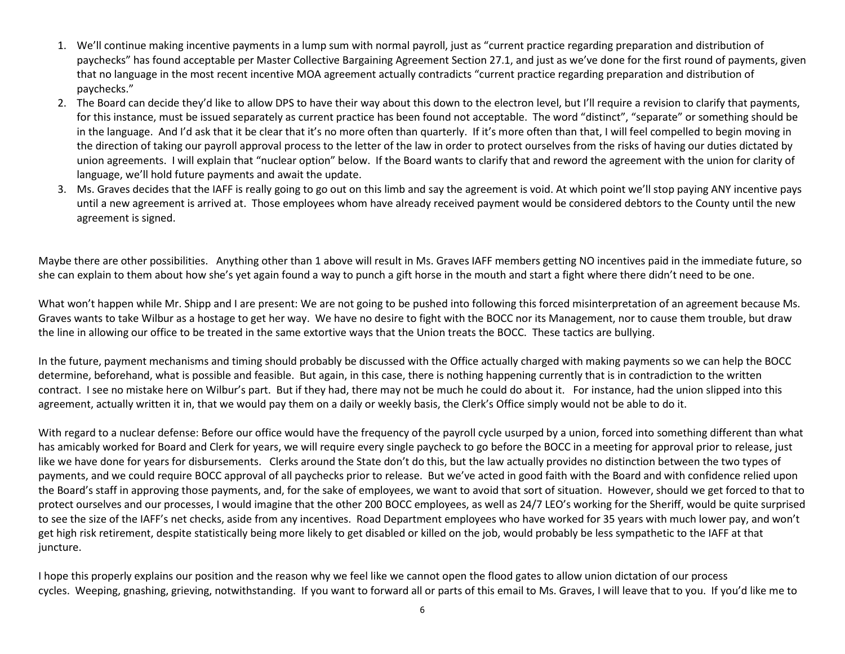- 1. We'll continue making incentive payments in a lump sum with normal payroll, just as "current practice regarding preparation and distribution of paychecks" has found acceptable per Master Collective Bargaining Agreement Section 27.1, and just as we've done for the first round of payments, given that no language in the most recent incentive MOA agreement actually contradicts "current practice regarding preparation and distribution of paychecks."
- 2. The Board can decide they'd like to allow DPS to have their way about this down to the electron level, but I'll require a revision to clarify that payments, for this instance, must be issued separately as current practice has been found not acceptable. The word "distinct", "separate" or something should be in the language. And I'd ask that it be clear that it's no more often than quarterly. If it's more often than that, I will feel compelled to begin moving in the direction of taking our payroll approval process to the letter of the law in order to protect ourselves from the risks of having our duties dictated by union agreements. I will explain that "nuclear option" below. If the Board wants to clarify that and reword the agreement with the union for clarity oflanguage, we'll hold future payments and await the update.
- 3. Ms. Graves decides that the IAFF is really going to go out on this limb and say the agreement is void. At which point we'll stop paying ANY incentive pays until a new agreement is arrived at. Those employees whom have already received payment would be considered debtors to the County until the new agreement is signed.

Maybe there are other possibilities. Anything other than 1 above will result in Ms. Graves IAFF members getting NO incentives paid in the immediate future, so she can explain to them about how she's yet again found a way to punch a gift horse in the mouth and start a fight where there didn't need to be one.

What won't happen while Mr. Shipp and I are present: We are not going to be pushed into following this forced misinterpretation of an agreement because Ms. Graves wants to take Wilbur as a hostage to get her way. We have no desire to fight with the BOCC nor its Management, nor to cause them trouble, but draw the line in allowing our office to be treated in the same extortive ways that the Union treats the BOCC. These tactics are bullying.

In the future, payment mechanisms and timing should probably be discussed with the Office actually charged with making payments so we can help the BOCC determine, beforehand, what is possible and feasible. But again, in this case, there is nothing happening currently that is in contradiction to the written contract. I see no mistake here on Wilbur's part. But if they had, there may not be much he could do about it. For instance, had the union slipped into this agreement, actually written it in, that we would pay them on a daily or weekly basis, the Clerk's Office simply would not be able to do it.

With regard to a nuclear defense: Before our office would have the frequency of the payroll cycle usurped by a union, forced into something different than what has amicably worked for Board and Clerk for years, we will require every single paycheck to go before the BOCC in a meeting for approval prior to release, just like we have done for years for disbursements. Clerks around the State don't do this, but the law actually provides no distinction between the two types of payments, and we could require BOCC approval of all paychecks prior to release. But we've acted in good faith with the Board and with confidence relied upon the Board's staff in approving those payments, and, for the sake of employees, we want to avoid that sort of situation. However, should we get forced to that to protect ourselves and our processes, I would imagine that the other 200 BOCC employees, as well as 24/7 LEO's working for the Sheriff, would be quite surprised to see the size of the IAFF's net checks, aside from any incentives. Road Department employees who have worked for 35 years with much lower pay, and won't get high risk retirement, despite statistically being more likely to get disabled or killed on the job, would probably be less sympathetic to the IAFF at that juncture.

I hope this properly explains our position and the reason why we feel like we cannot open the flood gates to allow union dictation of our process cycles. Weeping, gnashing, grieving, notwithstanding. If you want to forward all or parts of this email to Ms. Graves, I will leave that to you. If you'd like me to